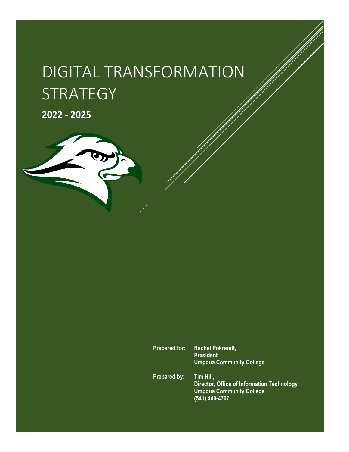# DIGITAL TRANSFORMATION **STRATEGY**

**2022 - 2025**



**Director, Office of Information Technology Umpqua Community College (541) 440-4707**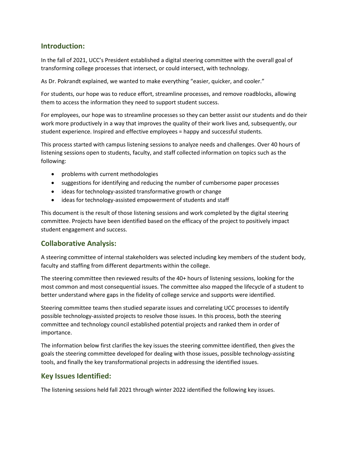# **Introduction:**

In the fall of 2021, UCC's President established a digital steering committee with the overall goal of transforming college processes that intersect, or could intersect, with technology.

As Dr. Pokrandt explained, we wanted to make everything "easier, quicker, and cooler."

For students, our hope was to reduce effort, streamline processes, and remove roadblocks, allowing them to access the information they need to support student success.

For employees, our hope was to streamline processes so they can better assist our students and do their work more productively in a way that improves the quality of their work lives and, subsequently, our student experience. Inspired and effective employees = happy and successful students.

This process started with campus listening sessions to analyze needs and challenges. Over 40 hours of listening sessions open to students, faculty, and staff collected information on topics such as the following:

- problems with current methodologies
- suggestions for identifying and reducing the number of cumbersome paper processes
- ideas for technology-assisted transformative growth or change
- ideas for technology-assisted empowerment of students and staff

This document is the result of those listening sessions and work completed by the digital steering committee. Projects have been identified based on the efficacy of the project to positively impact student engagement and success.

## **Collaborative Analysis:**

A steering committee of internal stakeholders was selected including key members of the student body, faculty and staffing from different departments within the college.

The steering committee then reviewed results of the 40+ hours of listening sessions, looking for the most common and most consequential issues. The committee also mapped the lifecycle of a student to better understand where gaps in the fidelity of college service and supports were identified.

Steering committee teams then studied separate issues and correlating UCC processes to identify possible technology-assisted projects to resolve those issues. In this process, both the steering committee and technology council established potential projects and ranked them in order of importance.

The information below first clarifies the key issues the steering committee identified, then gives the goals the steering committee developed for dealing with those issues, possible technology-assisting tools, and finally the key transformational projects in addressing the identified issues.

## **Key Issues Identified:**

The listening sessions held fall 2021 through winter 2022 identified the following key issues.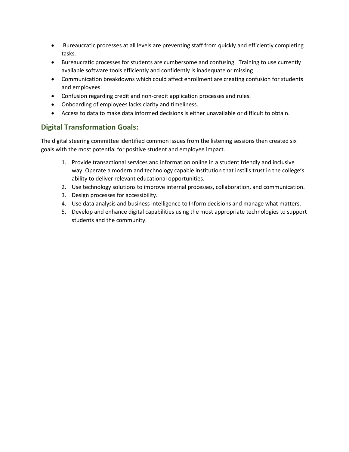- Bureaucratic processes at all levels are preventing staff from quickly and efficiently completing tasks.
- Bureaucratic processes for students are cumbersome and confusing. Training to use currently available software tools efficiently and confidently is inadequate or missing
- Communication breakdowns which could affect enrollment are creating confusion for students and employees.
- Confusion regarding credit and non-credit application processes and rules.
- Onboarding of employees lacks clarity and timeliness.
- Access to data to make data informed decisions is either unavailable or difficult to obtain.

# **Digital Transformation Goals:**

The digital steering committee identified common issues from the listening sessions then created six goals with the most potential for positive student and employee impact.

- 1. Provide transactional services and information online in a student friendly and inclusive way. Operate a modern and technology capable institution that instills trust in the college's ability to deliver relevant educational opportunities.
- 2. Use technology solutions to improve internal processes, collaboration, and communication.
- 3. Design processes for accessibility.
- 4. Use data analysis and business intelligence to Inform decisions and manage what matters.
- 5. Develop and enhance digital capabilities using the most appropriate technologies to support students and the community.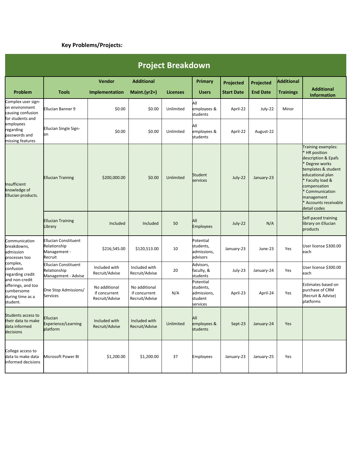# **Key Problems/Projects:**

| <b>Project Breakdown</b>                                                                                                                                                                      |                                                                        |                                                  |                                                  |                                  |                                                              |                                |                              |                                       |                                                                                                                                                                                                                               |  |  |
|-----------------------------------------------------------------------------------------------------------------------------------------------------------------------------------------------|------------------------------------------------------------------------|--------------------------------------------------|--------------------------------------------------|----------------------------------|--------------------------------------------------------------|--------------------------------|------------------------------|---------------------------------------|-------------------------------------------------------------------------------------------------------------------------------------------------------------------------------------------------------------------------------|--|--|
| Problem                                                                                                                                                                                       | <b>Tools</b>                                                           | <b>Vendor</b><br>Implementation                  | <b>Additional</b><br>Maint.(yr2+)                | <b>Licenses</b>                  | Primary<br><b>Users</b>                                      | Projected<br><b>Start Date</b> | Projected<br><b>End Date</b> | <b>Additional</b><br><b>Trainings</b> | <b>Additional</b>                                                                                                                                                                                                             |  |  |
| Complex user sign-<br>on environment<br>causing confusion<br>for students and<br>employees<br>regarding<br>passwords and<br>missing features                                                  | Ellucian Banner 9                                                      | \$0.00                                           | \$0.00                                           | Unlimited                        | All<br>employees &<br>students                               | April-22                       | July-22                      | Minor                                 | <b>Information</b>                                                                                                                                                                                                            |  |  |
|                                                                                                                                                                                               | Ellucian Single Sign-<br>bn                                            | \$0.00                                           | \$0.00                                           | Unlimited                        | All<br>employees &<br>students                               | April-22                       | August-22                    |                                       |                                                                                                                                                                                                                               |  |  |
| Insufficient<br>knowledge of<br>Ellucian products.                                                                                                                                            | <b>Ellucian Training</b>                                               | \$200,000.00                                     | \$0.00                                           | Student<br>Unlimited<br>services |                                                              | July-22                        | January-23                   |                                       | Training examples:<br>HR position<br>description & Epafs<br>Degree works<br>templates & student<br>educational plan<br>Faculty load &<br>compensation<br>Communication<br>management<br>* Accounts receivable<br>detail codes |  |  |
|                                                                                                                                                                                               | <b>Ellucian Training</b><br>Library                                    | Included                                         | Included                                         | 50                               | All<br><b>Employees</b>                                      | July-22                        | N/A                          |                                       | Self-paced training<br>library on Ellucian<br>products                                                                                                                                                                        |  |  |
| Communication<br>breakdowns,<br>admission<br>processes too<br>complex,<br>confusion<br>regarding credit<br>and non-credit<br>offerings, and too<br>cumbersome<br>during time as a<br>student. | <b>Ellucian Constituent</b><br>Relationship<br>Management -<br>Recruit | \$216,545.00                                     | \$120,513.00                                     | 10                               | Potential<br>students,<br>admissions,<br>advisors            | January-23                     | June-23                      | Yes                                   | User license \$300.00<br>each                                                                                                                                                                                                 |  |  |
|                                                                                                                                                                                               | <b>Ellucian Constituent</b><br>Relationship<br>Management - Advise     | Included with<br>Recruit/Advise                  | Included with<br>Recruit/Advise                  | 20                               | Advisors,<br>faculty, &<br>students                          | July-23                        | January-24                   | Yes                                   | User license \$300.00<br>each                                                                                                                                                                                                 |  |  |
|                                                                                                                                                                                               | One Stop Admissions/<br>Services                                       | No additional<br>if concurrent<br>Recruit/Advise | No additional<br>if concurrent<br>Recruit/Advise | N/A                              | Potential<br>students,<br>admissions,<br>student<br>services | April-23                       | April-24                     | Yes                                   | Estimates based on<br>purchase of CRM<br>(Recruit & Advise)<br>platforms                                                                                                                                                      |  |  |
| Students access to<br>their data to make<br>data informed<br>decisions                                                                                                                        | Ellucian<br>Experience/Learning<br>platform                            | Included with<br>Recruit/Advise                  | Included with<br>Recruit/Advise                  | Unlimited                        | All<br>employees &<br>students                               | Sept-23                        | January-24                   | Yes                                   |                                                                                                                                                                                                                               |  |  |
| College access to<br>data to make data<br>informed decisions                                                                                                                                  | Microsoft Power BI                                                     | \$1,200.00                                       | \$1,200.00                                       | 37                               | Employees                                                    | January-23                     | January-25                   | Yes                                   |                                                                                                                                                                                                                               |  |  |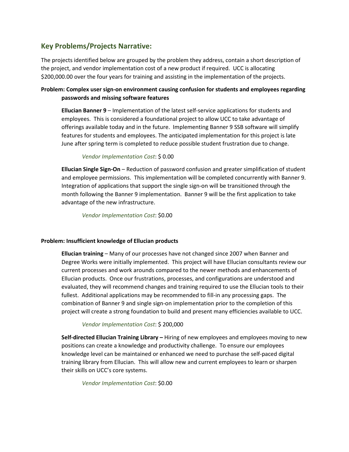# **Key Problems/Projects Narrative:**

The projects identified below are grouped by the problem they address, contain a short description of the project, and vendor implementation cost of a new product if required. UCC is allocating \$200,000.00 over the four years for training and assisting in the implementation of the projects.

## **Problem: Complex user sign-on environment causing confusion for students and employees regarding passwords and missing software features**

**Ellucian Banner 9** – Implementation of the latest self-service applications for students and employees. This is considered a foundational project to allow UCC to take advantage of offerings available today and in the future. Implementing Banner 9 SSB software will simplify features for students and employees. The anticipated implementation for this project is late June after spring term is completed to reduce possible student frustration due to change.

### *Vendor Implementation Cost*: \$ 0.00

**Ellucian Single Sign-On** – Reduction of password confusion and greater simplification of student and employee permissions. This implementation will be completed concurrently with Banner 9. Integration of applications that support the single sign-on will be transitioned through the month following the Banner 9 implementation. Banner 9 will be the first application to take advantage of the new infrastructure.

*Vendor Implementation Cost*: \$0.00

### **Problem: Insufficient knowledge of Ellucian products**

**Ellucian training** – Many of our processes have not changed since 2007 when Banner and Degree Works were initially implemented. This project will have Ellucian consultants review our current processes and work arounds compared to the newer methods and enhancements of Ellucian products. Once our frustrations, processes, and configurations are understood and evaluated, they will recommend changes and training required to use the Ellucian tools to their fullest. Additional applications may be recommended to fill-in any processing gaps. The combination of Banner 9 and single sign-on implementation prior to the completion of this project will create a strong foundation to build and present many efficiencies available to UCC.

## *Vendor Implementation Cost*: \$ 200,000

**Self-directed Ellucian Training Library –** Hiring of new employees and employees moving to new positions can create a knowledge and productivity challenge. To ensure our employees knowledge level can be maintained or enhanced we need to purchase the self-paced digital training library from Ellucian. This will allow new and current employees to learn or sharpen their skills on UCC's core systems.

*Vendor Implementation Cost*: \$0.00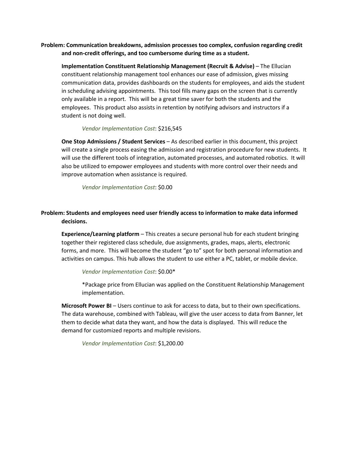**Problem: Communication breakdowns, admission processes too complex, confusion regarding credit and non-credit offerings, and too cumbersome during time as a student.**

**Implementation Constituent Relationship Management (Recruit & Advise)** – The Ellucian constituent relationship management tool enhances our ease of admission, gives missing communication data, provides dashboards on the students for employees, and aids the student in scheduling advising appointments. This tool fills many gaps on the screen that is currently only available in a report. This will be a great time saver for both the students and the employees. This product also assists in retention by notifying advisors and instructors if a student is not doing well.

#### *Vendor Implementation Cost*: \$216,545

**One Stop Admissions / Student Services** – As described earlier in this document, this project will create a single process easing the admission and registration procedure for new students. It will use the different tools of integration, automated processes, and automated robotics. It will also be utilized to empower employees and students with more control over their needs and improve automation when assistance is required.

*Vendor Implementation Cost*: \$0.00

## **Problem: Students and employees need user friendly access to information to make data informed decisions.**

**Experience/Learning platform** – This creates a secure personal hub for each student bringing together their registered class schedule, due assignments, grades, maps, alerts, electronic forms, and more. This will become the student "go to" spot for both personal information and activities on campus. This hub allows the student to use either a PC, tablet, or mobile device.

#### *Vendor Implementation Cost*: \$0.00\*

\*Package price from Ellucian was applied on the Constituent Relationship Management implementation.

**Microsoft Power BI** – Users continue to ask for access to data, but to their own specifications. The data warehouse, combined with Tableau, will give the user access to data from Banner, let them to decide what data they want, and how the data is displayed. This will reduce the demand for customized reports and multiple revisions.

*Vendor Implementation Cost*: \$1,200.00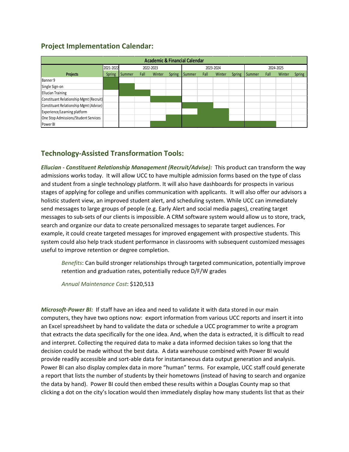# **Project Implementation Calendar:**

| <b>Academic &amp; Financial Calendar</b> |                        |        |      |           |               |        |           |        |               |        |      |        |        |
|------------------------------------------|------------------------|--------|------|-----------|---------------|--------|-----------|--------|---------------|--------|------|--------|--------|
|                                          | 2021-2022<br>2022-2023 |        |      | 2023-2024 |               |        | 2024-2025 |        |               |        |      |        |        |
| <b>Projects</b>                          | <b>Spring</b>          | Summer | Fall | Winter    | <b>Spring</b> | Summer | Fall      | Winter | <b>Spring</b> | Summer | Fall | Winter | Spring |
| Banner 9                                 |                        |        |      |           |               |        |           |        |               |        |      |        |        |
| Single Sign-on                           |                        |        |      |           |               |        |           |        |               |        |      |        |        |
| <b>Ellucian Training</b>                 |                        |        |      |           |               |        |           |        |               |        |      |        |        |
| Constituant Relationship Mgmt (Recruit)  |                        |        |      |           |               |        |           |        |               |        |      |        |        |
| Constituant Relationship Mgmt (Advise)   |                        |        |      |           |               |        |           |        |               |        |      |        |        |
| Experience/Learning platform             |                        |        |      |           |               |        |           |        |               |        |      |        |        |
| One Stop Admissions/Student Services     |                        |        |      |           |               |        |           |        |               |        |      |        |        |
| Power BI                                 |                        |        |      |           |               |        |           |        |               |        |      |        |        |

# **Technology-Assisted Transformation Tools:**

*Ellucian - Constituent Relationship Management (Recruit/Advise):* This product can transform the way admissions works today. It will allow UCC to have multiple admission forms based on the type of class and student from a single technology platform. It will also have dashboards for prospects in various stages of applying for college and unifies communication with applicants. It will also offer our advisors a holistic student view, an improved student alert, and scheduling system. While UCC can immediately send messages to large groups of people (e.g. Early Alert and social media pages), creating target messages to sub-sets of our clients is impossible. A CRM software system would allow us to store, track, search and organize our data to create personalized messages to separate target audiences. For example, it could create targeted messages for improved engagement with prospective students. This system could also help track student performance in classrooms with subsequent customized messages useful to improve retention or degree completion.

*Benefits*: Can build stronger relationships through targeted communication, potentially improve retention and graduation rates, potentially reduce D/F/W grades

*Annual Maintenance Cost*: \$120,513

*Microsoft-Power BI:* If staff have an idea and need to validate it with data stored in our main computers, they have two options now: export information from various UCC reports and insert it into an Excel spreadsheet by hand to validate the data or schedule a UCC programmer to write a program that extracts the data specifically for the one idea. And, when the data is extracted, it is difficult to read and interpret. Collecting the required data to make a data informed decision takes so long that the decision could be made without the best data. A data warehouse combined with Power BI would provide readily accessible and sort-able data for instantaneous data output generation and analysis. Power BI can also display complex data in more "human" terms. For example, UCC staff could generate a report that lists the number of students by their hometowns (instead of having to search and organize the data by hand). Power BI could then embed these results within a Douglas County map so that clicking a dot on the city's location would then immediately display how many students list that as their